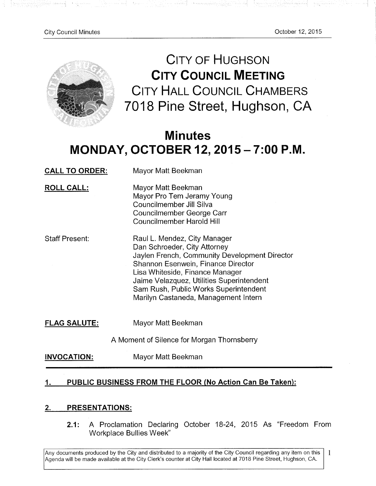공원은 공원일

모르니 전무 보니

stationalistic retri

그동안 나무 자주 가자



**CITY OF HUGHSON CITY COUNCIL MEETING**  CITY HALL COUNCIL CHAMBERS 7018 Pine Street, Hughson, CA

<u>المواليل والمتجمع محمد المستحدث</u>

# **Minutes**  MONDAY, **OCTOBER 12, 2015**-7**:00 P.M**

| <b>CALL TO ORDER:</b> | Mayor Matt Beekman                                                                                                                                                                                                                                                                                                   |
|-----------------------|----------------------------------------------------------------------------------------------------------------------------------------------------------------------------------------------------------------------------------------------------------------------------------------------------------------------|
| <b>ROLL CALL:</b>     | Mayor Matt Beekman<br>Mayor Pro Tem Jeramy Young<br>Councilmember Jill Silva<br>Councilmember George Carr<br>Councilmember Harold Hill                                                                                                                                                                               |
| <b>Staff Present:</b> | Raul L. Mendez, City Manager<br>Dan Schroeder, City Attorney<br>Jaylen French, Community Development Director<br>Shannon Esenwein, Finance Director<br>Lisa Whiteside, Finance Manager<br>Jaime Velazquez, Utilities Superintendent<br>Sam Rush, Public Works Superintendent<br>Marilyn Castaneda, Management Intern |
| <b>FLAG SALUTE:</b>   | Mayor Matt Beekman                                                                                                                                                                                                                                                                                                   |
|                       | A Moment of Silence for Morgan Thornsberry                                                                                                                                                                                                                                                                           |

**INVOCATION:**  Mayor Matt Beekman

# 1. PUBLIC BUSINESS FROM THE FLOOR (No Action Can Be Taken):

# **2. PRESENTATIONS:**

**2.1:** A Proclamation Declaring October 18-24, 2015 As "Freedom From Workplace Bullies Week"

Any documents produced by the City and distributed to a majority of the City Council regarding any item on this Agenda will be made available at the City Clerk's counter at City Hall located at 7018 Pine Street, Hughson, CA. 1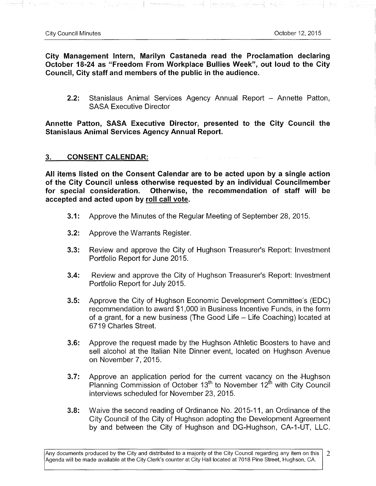도박 아프 식사장

**City Management Intern, Marilyn Castaneda read the Proclamation declaring October 18-24 as "Freedom From Workplace Bullies Week", out loud to the City**  Council, City staff and members of the public in the audience.

2.2: Stanislaus Animal Services Agency Annual Report - Annette Patton, SASA Executive Director

Discriminal <del>monology</del> with language collect with with with be

**Annette Patton, SASA Executive Director, presented to the City Council the Stanislaus Animal Services Agency Annual Report.** 

### **3. CONSENT CALENDAR:**

**All items listed on the Consent Calendar are to be acted upon by a single action of the City Council unless otherwise requested by an individual Councilmember for special consideration. Otherwise, the recommendation of staff will be accepted and acted upon by roll call vote.** 

- **3.1:** Approve the Minutes of the Regular Meeting of September 28, 2015.
- **3.2:** Approve the Warrants Register.
- **3.3:** Review and approve the City of Hughson Treasurer's Report: Investment Portfolio Report for June 2015.
- **3.4:** Review and approve the City of Hughson Treasurer's Report: Investment Portfolio Report for July 2015.
- **3.5:** Approve the City of Hughson Economic Development Committee's (EDC) recommendation to award \$1,000 in Business Incentive Funds, in the form of a grant, for a new business (The Good Life - Life Coaching) located at 6719 Charles Street.
- **3.6:** Approve the request made by the Hughson Athletic Boosters to have and sell alcohol at the Italian Nite Dinner event, located on Hughson Avenue on November 7, 2015.
- **3.7:** Approve an application period for the current vacancy on the Hughson Planning Commission of October  $13<sup>th</sup>$  to November  $12<sup>th</sup>$  with City Council interviews scheduled for November 23, 2015.
- **3.8:** Waive the second reading of Ordinance No. 2015-11, an Ordinance of the City Council of the City of Hughson adopting the Development Agreement by and between the City of Hughson and DG-Hughson, CA-l-UT, LLC.

Any documents produced by the City and distributed to a majority of the City Council regarding any item on this  $\overline{2}$ Agenda will be made available at the City Clerk's counter at City Hall located at 7018 Pine Street, Hughson, CA.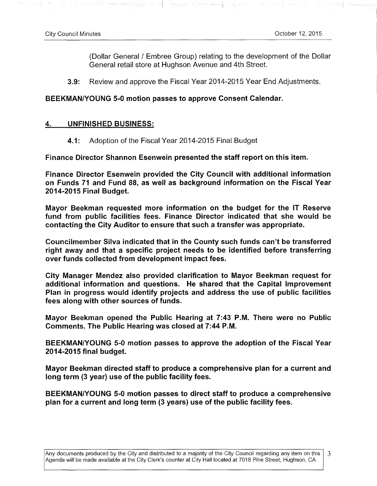우리 그리고록

3

(Dollar General / Embree Group) relating to the development of the Dollar General retail store at Hughson Avenue and 4th Street.

**3.9:** Review and approve the Fiscal Year 2014-2015 Year End Adjustments.

# **BEEKMAN/YOUNG 5-0 motion passes to approve Consent Calendar.**

#### **4. UNFINISHED BUSINESS:**

4.1: Adoption of the Fiscal Year 2014-2015 Final Budget

**Finance Director Shannon Esenwein presented the staff report on this item.** 

**Finance Director Esenwein provided the City Council with additional information on Funds 71 and Fund 88, as well as background information on the Fiscal Year 2014-2015 Final Budget.** 

**Mayor Beekman requested more information on the budget for the IT Reserve fund from public facilities fees. Finance Director indicated that she would be contacting the City Auditor to ensure that such a transfer was appropriate.** 

**Councilmember Silva indicated that in the County such funds can't be transferred right away and that a specific project needs to be identified before transferring over funds collected from development impact fees.** 

**City Manager Mendez also provided clarification to Mayor Beekman request for additional information and questions. He shared that the Capital Improvement Plan in progress would identify projects and address the use of public facilities fees along with other sources of funds.** 

**Mayor Beekman opened the Public Hearing at 7:43 P.M. There were no Public Comments. The Public Hearing was closed at 7:44 P.M.** 

**BEEKMAN/YOUNG 5-0 motion passes to approve the adoption of the Fiscal Year 2014-2015 final budget.** 

**Mayor Beekman directed staff to produce a comprehensive plan for a current and long term (3 year) use of the public facility fees.** 

**BEEKMAN/YOUNG 5-0 motion passes to direct staff to produce a comprehensive plan for a current and long term (3 years) use of the public facility fees.** 

Any documents produced by the City and distributed to a majority of the City Council regarding any item on this Agenda will be made available at the City Clerk's counter at City Hall located at 7018 Pine Street, Hughson, CA.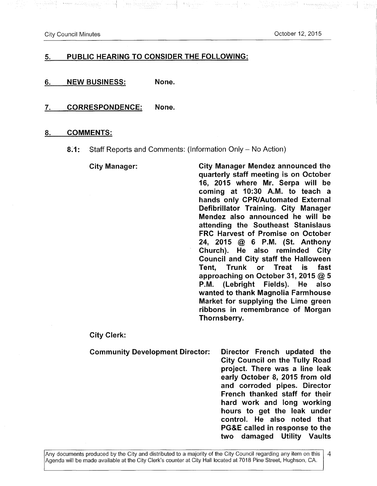City Council Minutes October 12, 2015

Western West

- Bayon papel (1980)

### **5. PUBLIC HEARING TO CONSIDER THE FOLLOWING:**

in State (1998) - 1998 - 1999 - 1999

**6. NEW BUSINESS: None.** 

**7. CORRESPONDENCE: None.** 

#### **8. COMMENTS:**

**8.1:** Staff Reports and Comments: (Information Only - No Action)

**City Manager: City Manager Mendez announced the quarterly staff meeting is on October 16, 2015 where Mr. Serpa will be coming at 10:30 A.M. to teach a hands only CPR/Automated External Defibrillator Training. City Manager Mendez also announced he will be attending the Southeast Stanislaus FRC Harvest of Promise on October 24, 2015 @ 6 P.M. (St. Anthony Church). He also reminded City Council and City staff the Halloween Tent, Trunk or Treat is fast approaching on October 31, 2015 @ 5 P.M. (Lebright Fields). He also wanted to thank Magnolia Farmhouse Market for supplying the Lime green ribbons in remembrance of Morgan Thornsberry.** 

**City Clerk:** 

**Community Development Director: Director French updated the City Council on the Tully Road project. There was a line leak early October 8, 2015 from old and corroded pipes. Director French thanked staff for their hard work and long working hours to get the leak under control. He also noted that PG&E called in response to the two damaged Utility Vaults**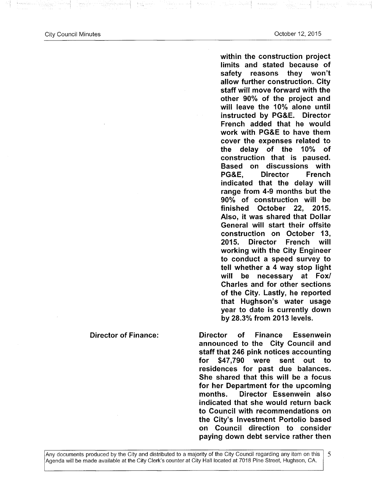$\{ \alpha_{\xi} \}_{\xi}$  and  $\alpha_{\xi}$ 

**within the construction project limits and stated because of safety reasons they won't allow further construction. City staff will move forward with the other 90% of the project and will leave the 10% alone until instructed by PG&E. Director French added that he would work with PG&E to have them cover the expenses related to the delay of the 10% of construction that is paused. Based on discussions with PG&E, Director French indicated that the delay will range from 4-9 months but the 90% of construction will be finished October 22, 2015. Also, it was shared that Dollar General will start their offsite construction on October 13, 2015. Director French will working with the City Engineer to conduct a speed survey to tell whether a 4 way stop light will be necessary at Fox/ Charles and for other sections of the City. Lastly, he reported that Hughson's water usage year to date is currently down by 28.3% from 2013 levels.** 

**Director of Finance: Director of Finance Essenwein announced to the City Council and staff that 246 pink notices accounting for \$47,790 were sent out to residences for past due balances. She shared that this will be a focus for her Department for the upcoming months. Director Essenwein also indicated that she would return back to Council with recommendations on the City's Investment Portolio based on Council direction to consider paying down debt service rather then** 

#### Any documents produced by the City and distributed to a majority of the City Council regarding any item on this Agenda will be made available at the City Clerk's counter at City Hall located at 7018 Pine Street, Hughson, CA.

5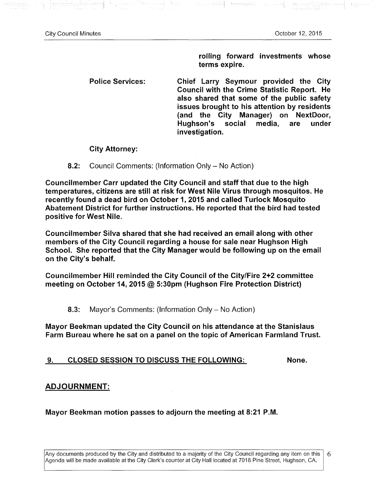소송된 노트

**rolling forward investments whose terms expire.** 

**Police Services: Chief Larry Seymour provided the City Council with the Crime Statistic Report. He also shared that some of the public safety issues brought to his attention by residents (and the City Manager) on NextDoor, Hughson's social media, are under investigation.** 

**City Attorney:** 

**8.2:** Council Comments: (Information Only - No Action)

الرواقي إسفار وواقة

**Councilmember Carr updated the City Council and staff that due to the high temperatures, citizens are still at risk for West Nile Virus through mosquitos. He recently found a dead bird on October 1, 2015 and called Turlock Mosquito Abatement District for further instructions. He reported that the bird had tested positive for West Nile.** 

**Councilmember Silva shared that she had received an email along with other members ofthe City Council regarding a house for sale near Hughson High School. She reported that the City Manager would be following up on the email on the City's behalf.** 

**Councilmember Hill reminded the City Council ofthe City/Fire 2+2 committee meeting on October 14, 2015 @ 5:30pm (Hughson Fire Protection District)** 

**8.3:** Mayor's Comments: (Information Only - No Action)

**Mayor Beekman updated the City Council on his attendance at the Stanislaus Farm Bureau where he sat on a panel on the topic of American Farmland Trust.** 

9. **CLOSED SESSION TO DISCUSS THE FOLLOWING: None.** 

#### **ADJOURNMENT:**

**Mayor Beekman motion passes to adjourn the meeting at 8:21 P.M.**